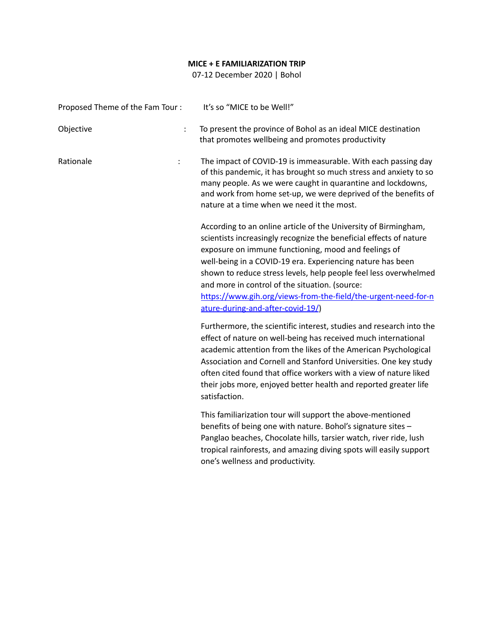## **MICE + E FAMILIARIZATION TRIP**

07-12 December 2020 | Bohol

| Proposed Theme of the Fam Tour:   | It's so "MICE to be Well!"                                                                                                                                                                                                                                                                                                                                                                                                                                                               |
|-----------------------------------|------------------------------------------------------------------------------------------------------------------------------------------------------------------------------------------------------------------------------------------------------------------------------------------------------------------------------------------------------------------------------------------------------------------------------------------------------------------------------------------|
| Objective<br>$\ddot{\cdot}$       | To present the province of Bohol as an ideal MICE destination<br>that promotes wellbeing and promotes productivity                                                                                                                                                                                                                                                                                                                                                                       |
| Rationale<br>$\ddot{\phantom{a}}$ | The impact of COVID-19 is immeasurable. With each passing day<br>of this pandemic, it has brought so much stress and anxiety to so<br>many people. As we were caught in quarantine and lockdowns,<br>and work from home set-up, we were deprived of the benefits of<br>nature at a time when we need it the most.                                                                                                                                                                        |
|                                   | According to an online article of the University of Birmingham,<br>scientists increasingly recognize the beneficial effects of nature<br>exposure on immune functioning, mood and feelings of<br>well-being in a COVID-19 era. Experiencing nature has been<br>shown to reduce stress levels, help people feel less overwhelmed<br>and more in control of the situation. (source:<br>https://www.gih.org/views-from-the-field/the-urgent-need-for-n<br>ature-during-and-after-covid-19/) |
|                                   | Furthermore, the scientific interest, studies and research into the<br>effect of nature on well-being has received much international<br>academic attention from the likes of the American Psychological<br>Association and Cornell and Stanford Universities. One key study<br>often cited found that office workers with a view of nature liked<br>their jobs more, enjoyed better health and reported greater life<br>satisfaction.                                                   |
|                                   | This familiarization tour will support the above-mentioned<br>benefits of being one with nature. Bohol's signature sites -<br>Panglao beaches, Chocolate hills, tarsier watch, river ride, lush<br>tropical rainforests, and amazing diving spots will easily support<br>one's wellness and productivity.                                                                                                                                                                                |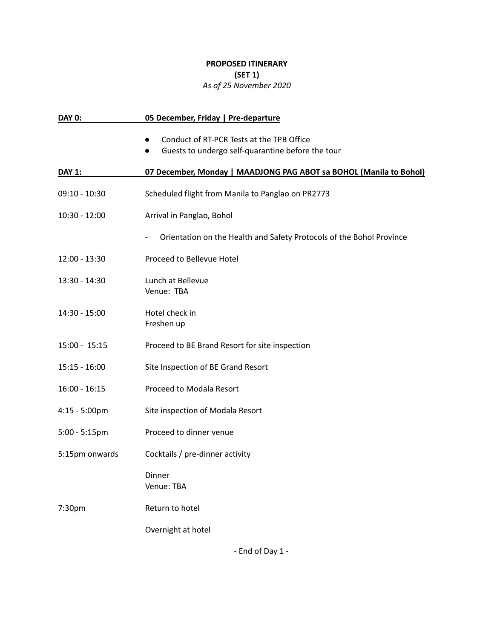## **PROPOSED ITINERARY (SET 1)** *As of 25 November 2020*

| <b>DAY 0:</b>           | 05 December, Friday   Pre-departure                                                                                      |
|-------------------------|--------------------------------------------------------------------------------------------------------------------------|
|                         | Conduct of RT-PCR Tests at the TPB Office<br>$\bullet$<br>Guests to undergo self-quarantine before the tour<br>$\bullet$ |
| <b>DAY 1:</b>           | 07 December, Monday   MAADJONG PAG ABOT sa BOHOL (Manila to Bohol)                                                       |
| $09:10 - 10:30$         | Scheduled flight from Manila to Panglao on PR2773                                                                        |
| $10:30 - 12:00$         | Arrival in Panglao, Bohol                                                                                                |
|                         | Orientation on the Health and Safety Protocols of the Bohol Province<br>$\overline{\phantom{a}}$                         |
| $12:00 - 13:30$         | Proceed to Bellevue Hotel                                                                                                |
| 13:30 - 14:30           | Lunch at Bellevue<br>Venue: TBA                                                                                          |
| 14:30 - 15:00           | Hotel check in<br>Freshen up                                                                                             |
| $15:00 - 15:15$         | Proceed to BE Brand Resort for site inspection                                                                           |
| $15:15 - 16:00$         | Site Inspection of BE Grand Resort                                                                                       |
| $16:00 - 16:15$         | Proceed to Modala Resort                                                                                                 |
| $4:15 - 5:00 \text{pm}$ | Site inspection of Modala Resort                                                                                         |
| $5:00 - 5:15$ pm        | Proceed to dinner venue                                                                                                  |
| 5:15pm onwards          | Cocktails / pre-dinner activity                                                                                          |
|                         | Dinner<br>Venue: TBA                                                                                                     |
| 7:30pm                  | Return to hotel                                                                                                          |
|                         | Overnight at hotel                                                                                                       |

- End of Day 1 -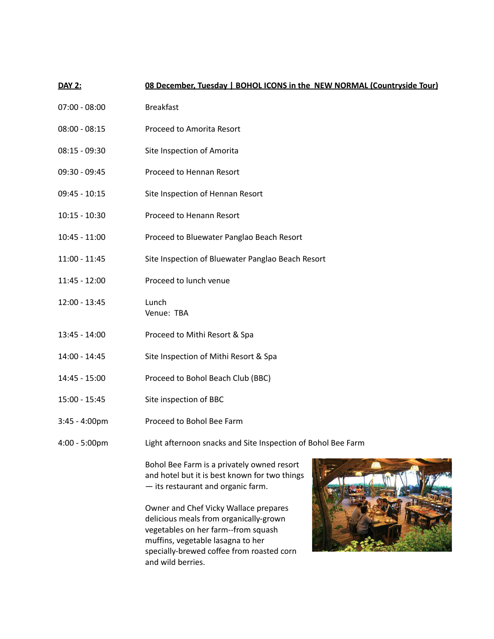## **DAY 2: 08 December, Tuesday | BOHOL ICONS in the NEW NORMAL (Countryside Tour)**

- 07:00 08:00 Breakfast
- 08:00 08:15 Proceed to Amorita Resort
- 08:15 09:30 Site Inspection of Amorita
- 09:30 09:45 Proceed to Hennan Resort
- 09:45 10:15 Site Inspection of Hennan Resort
- 10:15 10:30 Proceed to Henann Resort
- 10:45 11:00 Proceed to Bluewater Panglao Beach Resort
- 11:00 11:45 Site Inspection of Bluewater Panglao Beach Resort
- 11:45 12:00 Proceed to lunch venue
- 12:00 13:45 Lunch Venue: TBA
- 13:45 14:00 Proceed to Mithi Resort & Spa
- 14:00 14:45 Site Inspection of Mithi Resort & Spa
- 14:45 15:00 Proceed to Bohol Beach Club (BBC)
- 15:00 15:45 Site inspection of BBC
- 3:45 4:00pm Proceed to Bohol Bee Farm
- 4:00 5:00pm Light afternoon snacks and Site Inspection of Bohol Bee Farm

Bohol Bee Farm is a privately owned resort and hotel but it is best known for two things — its restaurant and organic farm.

Owner and Chef Vicky Wallace prepares delicious meals from organically-grown vegetables on her farm--from squash muffins, vegetable lasagna to her specially-brewed coffee from roasted corn and wild berries.

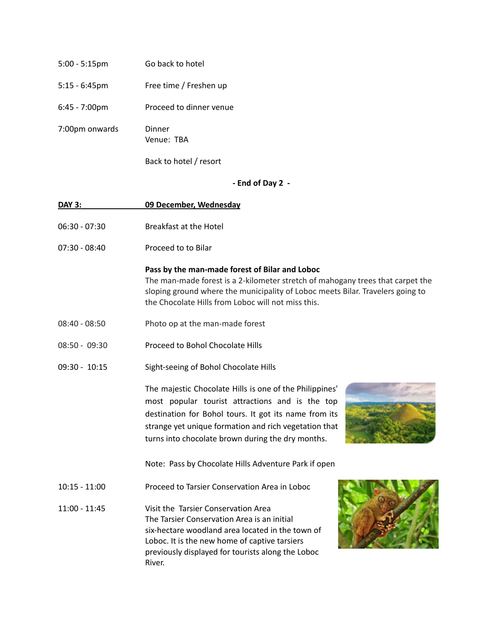| $5:00 - 5:15$ pm        | Go back to hotel        |
|-------------------------|-------------------------|
| $5:15 - 6:45$ pm        | Free time / Freshen up  |
| $6:45 - 7:00 \text{pm}$ | Proceed to dinner venue |
| 7:00pm onwards          | Dinner<br>Venue: TBA    |
|                         | Back to hotel / resort  |

**- End of Day 2 -**

| <b>DAY 3:</b>   | 09 December, Wednesday                                                                                                                                                                                                                                                            |
|-----------------|-----------------------------------------------------------------------------------------------------------------------------------------------------------------------------------------------------------------------------------------------------------------------------------|
| $06:30 - 07:30$ | <b>Breakfast at the Hotel</b>                                                                                                                                                                                                                                                     |
| $07:30 - 08:40$ | Proceed to to Bilar                                                                                                                                                                                                                                                               |
|                 | Pass by the man-made forest of Bilar and Loboc<br>The man-made forest is a 2-kilometer stretch of mahogany trees that carpet the<br>sloping ground where the municipality of Loboc meets Bilar. Travelers going to<br>the Chocolate Hills from Loboc will not miss this.          |
| $08:40 - 08:50$ | Photo op at the man-made forest                                                                                                                                                                                                                                                   |
| $08:50 - 09:30$ | Proceed to Bohol Chocolate Hills                                                                                                                                                                                                                                                  |
| $09:30 - 10:15$ | Sight-seeing of Bohol Chocolate Hills                                                                                                                                                                                                                                             |
|                 | The majestic Chocolate Hills is one of the Philippines'<br>most popular tourist attractions and is the top<br>destination for Bohol tours. It got its name from its<br>strange yet unique formation and rich vegetation that<br>turns into chocolate brown during the dry months. |
|                 | Note: Pass by Chocolate Hills Adventure Park if open                                                                                                                                                                                                                              |
| $10:15 - 11:00$ | Proceed to Tarsier Conservation Area in Loboc                                                                                                                                                                                                                                     |
| $11:00 - 11:45$ | Visit the Tarsier Conservation Area<br>The Tarsier Conservation Area is an initial<br>six-hectare woodland area located in the town of<br>Loboc. It is the new home of captive tarsiers<br>previously displayed for tourists along the Loboc<br>River.                            |